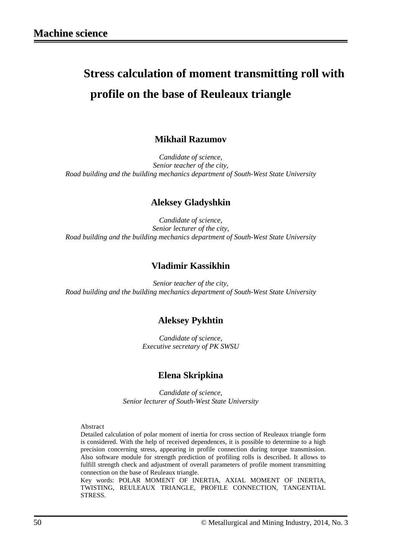# **Stress calculation of moment transmitting roll with profile on the base of Reuleaux triangle**

## **Mikhail Razumov**

*Candidate of science, Senior teacher of the city, Road building and the building mechanics department of South-West State University*

## **Aleksey Gladyshkin**

*Candidate of science, Senior lecturer of the city, Road building and the building mechanics department of South-West State University*

## **Vladimir Kassikhin**

*Senior teacher of the city, Road building and the building mechanics department of South-West State University*

#### **Aleksey Pykhtin**

*Candidate of science, Executive secretary of PK SWSU*

#### **Elena Skripkina**

*Candidate of science, Senior lecturer of South-West State University*

#### Abstract

Detailed calculation of polar moment of inertia for cross section of Reuleaux triangle form is considered. With the help of received dependences, it is possible to determine to a high precision concerning stress, appearing in profile connection during torque transmission. Also software module for strength prediction of profiling rolls is described. It allows to fulfill strength check and adjustment of overall parameters of profile moment transmitting connection on the base of Reuleaux triangle.

Key words: POLAR MOMENT OF INERTIA, AXIAL MOMENT OF INERTIA, TWISTING, REULEAUX TRIANGLE, PROFILE CONNECTION, TANGENTIAL STRESS.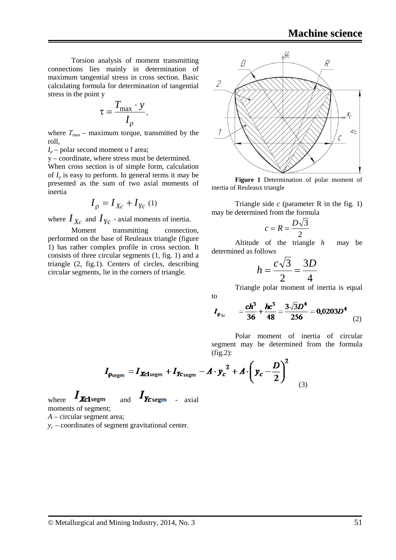Torsion analysis of moment transmitting connections lies mainly in determination of maximum tangential stress in cross section. Basic calculating formula for determination of tangential stress in the point y

$$
\tau = \frac{T_{\text{max}} \cdot y}{I_{\rho}},
$$

where  $T_{\text{max}}$  – maximum torque, transmitted by the roll,

 $I_0$  – polar second moment o f area;

y – coordinate, where stress must be determined. When cross section is of simple form, calculation of *I*<sup>ρ</sup> is easy to perform. In general terms it may be presented as the sum of two axial moments of inertia

$$
I_{\rho} = I_{Xc} + I_{Yc} \text{ (1)}
$$

where  $I_{X_C}$  and  $I_{Y_C}$  - axial moments of inertia.

Moment transmitting connection, performed on the base of Reuleaux triangle (figure 1) has rather complex profile in cross section. It consists of three circular segments (1, fig. 1) and a triangle (2, fig.1). Centers of circles, describing circular segments, lie in the corners of triangle.



**Figure 1** Determination of polar moment of inertia of Reuleaux triangle

Triangle side *c* (parameter R in the fig. 1) may be determined from the formula

$$
c = R = \frac{D\sqrt{3}}{2}
$$

Altitude of the triangle *h* may be determined as follows

$$
h = \frac{c\sqrt{3}}{2} = \frac{3D}{4}
$$

Triangle polar moment of inertia is equal

$$
I_{\rho_{\text{tr}}} = \frac{ch^3}{36} + \frac{hc^3}{48} = \frac{3\sqrt{3}D^4}{256} = 0.0203D^4
$$
 (2)

Polar moment of inertia of circular segment may be determined from the formula  $(fig.2)$ :

$$
I_{\rho_{\text{segm}}} = I_{\text{Xclsegm}} + I_{\text{Xcsegm}} - A \cdot y_c^2 + A \cdot \left(y_c - \frac{D}{2}\right)^2
$$
\n(3)

to

where  $I_{\text{Xc1segm}}$  and  $I_{\text{Xcsegm}}$  - axial moments of segment;

*A* – circular segment area;

 $y_c$  – coordinates of segment gravitational center.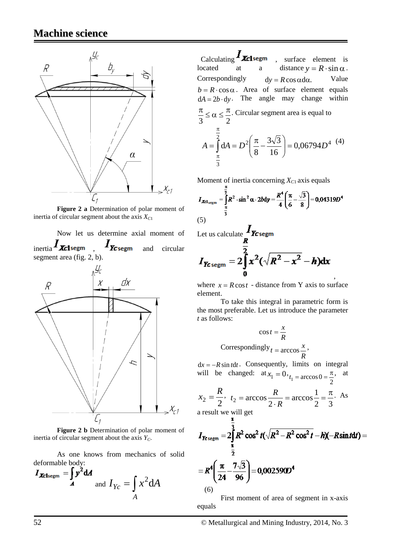

**Figure 2 a** Determination of polar moment of inertia of circular segment about the axis  $X_{C1}$ 

Now let us determine axial moment of inertia  $I_{\text{X}clsegm}$  ,  $I_{\text{X}lsegm}$  and circular segment area (fig. 2, b).



**Figure 2 b** Determination of polar moment of inertia of circular segment about the axis  $Y_C$ .

As one knows from mechanics of solid deformable body:

$$
I_{\text{Xclsegm}} = \int_{A} y^2 dA
$$
  
and  $I_{Yc} = \int_{A} x^2 dA$ 

Calculating  $I_{\text{X}cl^{s}$  surface element is located at a distance  $y = R \cdot \sin \alpha$ . Correspondingly  $dy = R \cos \alpha d\alpha$ . Value  $b = R \cdot \cos \alpha$ . Area of surface element equals  $dA = 2b \cdot dv$ . The angle may change within 3 2  $\frac{\pi}{2} \le \alpha \le \frac{\pi}{2}$ . Circular segment area is equal to 2  $\left| \begin{array}{cc} \pi & 3\sqrt{5} \\ -0.06704 \end{array} \right|$ 2 0,06794 16  $3\sqrt{3}$  $A = \int_{\pi} dA = D^2 \left( \frac{\pi}{8} - \frac{3\sqrt{3}}{16} \right) = 0,06794D$ J  $\setminus$  $\overline{\phantom{a}}$  $=\int_{\pi}^{2} dA = D^{2} \left( \frac{\pi}{8} - \right)$ π (4)

Moment of inertia concerning  $X_{C1}$  axis equals

$$
I_{\text{Xcl}_{\text{segm}}} = \int_{\frac{\pi}{3}}^{\frac{\pi}{2}} R^2 \cdot \sin^2 \alpha \cdot 2b \, \mathrm{d}y = \frac{R^4}{4} \left( \frac{\pi}{6} - \frac{\sqrt{3}}{8} \right) = 0,04319D^4
$$
\n
$$
(5)
$$

Let us calculate  $I_{\mathbf{Z}_{\text{c}}\text{segm}}$ 

3

π

$$
I_{\text{7c-segm}} = 2 \int_{0}^{\frac{1}{2}} x^2 (\sqrt{R^2 - x^2} - h) dx
$$

, where  $x = R \cos t$  - distance from Y axis to surface element.

To take this integral in parametric form is the most preferable. Let us introduce the parameter *t* as follows:

$$
\cos t = \frac{x}{R}
$$
  
Correspondingly<sub>t</sub> = arccos  $\frac{x}{R}$ ,

 $dx = -R \sin t dt$ . Consequently, limits on integral will be changed:  $at x_1 = 0$ ,  $t_1 = \arccos 0 = \frac{\pi}{2}$ , at

$$
x_2 = \frac{R}{2}, t_2 = \arccos \frac{R}{2 \cdot R} = \arccos \frac{1}{2} = \frac{\pi}{3}. As
$$

a result we will get

$$
I_{\text{K-segm}} = 2 \int_{\frac{\pi}{2}}^{\frac{\pi}{3}} R^2 \cos^2 t (\sqrt{R^2 - R^2 \cos^2 t} - h)(-R \sin t dt) =
$$
  
=  $R^4 \left( \frac{\pi}{24} - \frac{7\sqrt{3}}{96} \right) = 0,0025900^4$ 

First moment of area of segment in x-axis equals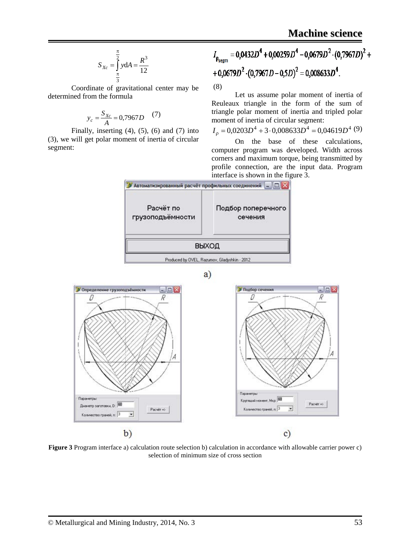$$
S_{Xc} = \int_{\frac{\pi}{3}}^{\frac{\pi}{2}} y dA = \frac{R^3}{12}
$$

Coordinate of gravitational center may be determined from the formula

$$
y_c = \frac{S_{Xc}}{A} = 0,7967D \tag{7}
$$

Finally, inserting  $(4)$ ,  $(5)$ ,  $(6)$  and  $(7)$  into (3), we will get polar moment of inertia of circular segment:

$$
I_{\rho_{segm}} = 0.0432D^{4} + 0.00259D^{4} - 0.0679D^{2} \cdot (0.7967D)^{2} + 0.0679D^{2} \cdot (0.7967D - 0.5D)^{2} = 0.008633D^{4}.
$$
  
(8)

Let us assume polar moment of inertia of Reuleaux triangle in the form of the sum of triangle polar moment of inertia and tripled polar moment of inertia of circular segment:

 $I<sub>o</sub> = 0,0203D<sup>4</sup> + 3.0,008633D<sup>4</sup> = 0,04619D<sup>4</sup>$  (9)

On the base of these calculations, computer program was developed. Width across corners and maximum torque, being transmitted by profile connection, are the input data. Program interface is shown in the figure 3.



**Figure 3** Program interface a) calculation route selection b) calculation in accordance with allowable carrier power c) selection of minimum size of cross section